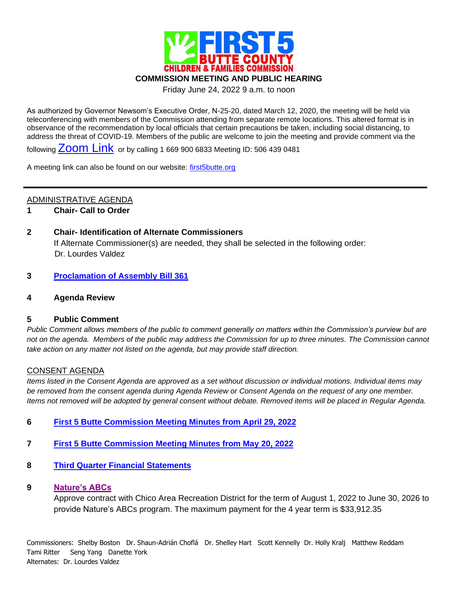

Friday June 24, 2022 9 a.m. to noon

As authorized by Governor Newsom's Executive Order, N-25-20, dated March 12, 2020, the meeting will be held via teleconferencing with members of the Commission attending from separate remote locations. This altered format is in observance of the recommendation by local officials that certain precautions be taken, including social distancing, to address the threat of COVID-19. Members of the public are welcome to join the meeting and provide comment via the

following [Zoom Link](https://us02web.zoom.us/j/5064390481) or by calling 1 669 900 6833 Meeting ID: 506 439 0481

A meeting link can also be found on our website: [first5butte.org](http://first5butte.org/)

# ADMINISTRATIVE AGENDA

**1 Chair- Call to Order**

# **2 Chair- Identification of Alternate Commissioners**

If Alternate Commissioner(s) are needed, they shall be selected in the following order: Dr. Lourdes Valdez

# **3 [Proclamation of Assembly Bill 361](https://first5butte.org/assets/Meetings/Agendas/commission/2022-06-24/Item-3-AB-361-RESOLUTION-10.pdf)**

**4 Agenda Review**

# **5 Public Comment**

*Public Comment allows members of the public to comment generally on matters within the Commission's purview but are not on the agenda. Members of the public may address the Commission for up to three minutes. The Commission cannot take action on any matter not listed on the agenda, but may provide staff direction.*

# CONSENT AGENDA

*Items listed in the Consent Agenda are approved as a set without discussion or individual motions. Individual items may be removed from the consent agenda during Agenda Review or Consent Agenda on the request of any one member. Items not removed will be adopted by general consent without debate. Removed items will be placed in Regular Agenda.*

- **6 [First 5 Butte Commission Meeting Minutes from April 29, 2022](https://first5butte.org/assets/Meetings/Agendas/commission/2022-06-24/Item-6-April-29-Commission-Minutes-DRAFT.pdf)**
- **7 [First 5 Butte Commission Meeting Minutes from May 20, 2022](https://first5butte.org/assets/Meetings/Agendas/commission/2022-06-24/Item-7-May-20-Commission-Minutes-DRAFT.pdf)**
- **8 [Third Quarter Financial](https://first5butte.org/assets/Meetings/Agendas/commission/2022-06-24/Item-8-Q3-Financials-FY-21-22.pdf) Statements**

# **9 [Nature's ABCs](https://first5butte.org/assets/Meetings/Agendas/commission/2022-06-24/Item-9-Natures-ABCs-Staff-Report.pdf)**

Approve contract with Chico Area Recreation District for the term of August 1, 2022 to June 30, 2026 to provide Nature's ABCs program. The maximum payment for the 4 year term is \$33,912.35

Commissioners: Shelby Boston Dr. Shaun-Adrián Choflá Dr. Shelley Hart Scott Kennelly Dr. Holly Kralj Matthew Reddam Tami Ritter Seng Yang Danette York Alternates: Dr. Lourdes Valdez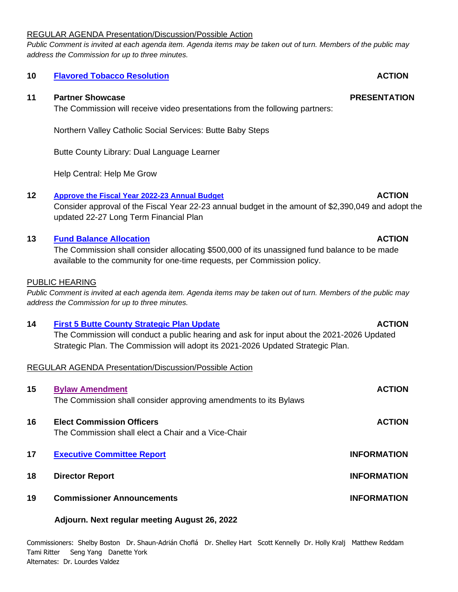### REGULAR AGENDA Presentation/Discussion/Possible Action

*Public Comment is invited at each agenda item. Agenda items may be taken out of turn. Members of the public may address the Commission for up to three minutes.*

### **10 [Flavored Tobacco Resolution](https://first5butte.org/assets/Meetings/Agendas/commission/2022-06-24/Item-10-Flavored-Tobacco-Resolution-Staff-Report.pdf) ACTION**

### **11 Partner Showcase PRESENTATION**

The Commission will receive video presentations from the following partners:

Northern Valley Catholic Social Services: Butte Baby Steps

Butte County Library: Dual Language Learner

Help Central: Help Me Grow

### **12 [Approve the Fiscal Year 2022-23](https://first5butte.org/assets/Meetings/Agendas/commission/2022-06-24/Item-12-Budget-Staff-Report.pdf) Annual Budget ACTION**

Consider approval of the Fiscal Year 22-23 annual budget in the amount of \$2,390,049 and adopt the updated 22-27 Long Term Financial Plan

### **13 [Fund Balance Allocation](https://first5butte.org/assets/Meetings/Agendas/commission/2022-06-24/Item-13-Fund-Balance-Allocation.pdf) ACTION**

The Commission shall consider allocating \$500,000 of its unassigned fund balance to be made available to the community for one-time requests, per Commission policy.

### PUBLIC HEARING

*Public Comment is invited at each agenda item. Agenda items may be taken out of turn. Members of the public may address the Commission for up to three minutes.*

# **14 [First 5 Butte County Strategic Plan Update](https://first5butte.org/assets/Meetings/Agendas/commission/2022-06-24/Item-14-First-5-Butte-STRATEGIC-PLAN-Update-2022.pdf) ACTION** The Commission will conduct a public hearing and ask for input about the 2021-2026 Updated

Strategic Plan. The Commission will adopt its 2021-2026 Updated Strategic Plan.

# REGULAR AGENDA Presentation/Discussion/Possible Action

| 15 | <b>Bylaw Amendment</b><br>The Commission shall consider approving amendments to its Bylaws | <b>ACTION</b>      |
|----|--------------------------------------------------------------------------------------------|--------------------|
| 16 | <b>Elect Commission Officers</b><br>The Commission shall elect a Chair and a Vice-Chair    | <b>ACTION</b>      |
| 17 | <b>Executive Committee Report</b>                                                          | <b>INFORMATION</b> |
| 18 | <b>Director Report</b>                                                                     | <b>INFORMATION</b> |
| 19 | <b>Commissioner Announcements</b>                                                          | <b>INFORMATION</b> |
|    |                                                                                            |                    |

# **Adjourn. Next regular meeting August 26, 2022**

Commissioners: Shelby Boston Dr. Shaun-Adrián Choflá Dr. Shelley Hart Scott Kennelly Dr. Holly Kralj Matthew Reddam Tami Ritter Seng Yang Danette York Alternates: Dr. Lourdes Valdez